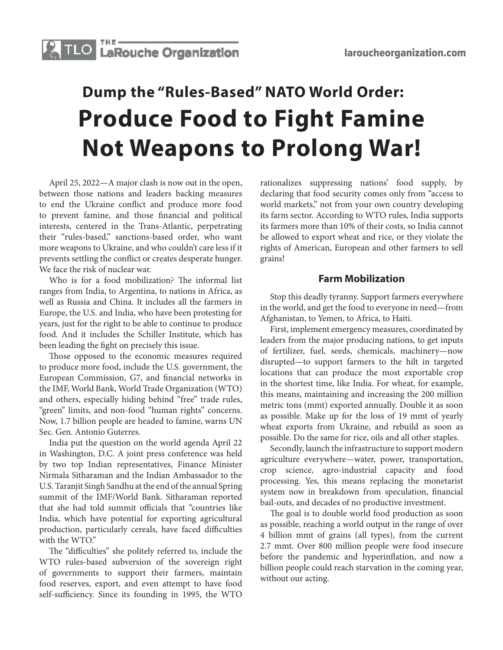

## **Dump the "Rules-Based" NATO World Order: Produce Food to Fight Famine Not Weapons to Prolong War!**

April 25, 2022—A major clash is now out in the open, between those nations and leaders backing measures to end the Ukraine conflict and produce more food to prevent famine, and those financial and political interests, centered in the Trans-Atlantic, perpetrating their "rules-based," sanctions-based order, who want more weapons to Ukraine, and who couldn't care less if it prevents settling the conflict or creates desperate hunger. We face the risk of nuclear war.

Who is for a food mobilization? The informal list ranges from India, to Argentina, to nations in Africa, as well as Russia and China. It includes all the farmers in Europe, the U.S. and India, who have been protesting for years, just for the right to be able to continue to produce food. And it includes the Schiller Institute, which has been leading the fight on precisely this issue.

Those opposed to the economic measures required to produce more food, include the U.S. government, the European Commission, G7, and financial networks in the IMF, World Bank, World Trade Organization (WTO) and others, especially hiding behind "free" trade rules, "green" limits, and non-food "human rights" concerns. Now, 1.7 billion people are headed to famine, warns UN Sec. Gen. Antonio Guterres.

India put the question on the world agenda April 22 in Washington, D.C. A joint press conference was held by two top Indian representatives, Finance Minister Nirmala Sitharaman and the Indian Ambassador to the U.S. Taranjit Singh Sandhu at the end of the annual Spring summit of the IMF/World Bank. Sitharaman reported that she had told summit officials that "countries like India, which have potential for exporting agricultural production, particularly cereals, have faced difficulties with the WTO."

The "difficulties" she politely referred to, include the WTO rules-based subversion of the sovereign right of governments to support their farmers, maintain food reserves, export, and even attempt to have food self-sufficiency. Since its founding in 1995, the WTO rationalizes suppressing nations' food supply, by declaring that food security comes only from "access to world markets," not from your own country developing its farm sector. According to WTO rules, India supports its farmers more than 10% of their costs, so India cannot be allowed to export wheat and rice, or they violate the rights of American, European and other farmers to sell grains!

## **Farm Mobilization**

Stop this deadly tyranny. Support farmers everywhere in the world, and get the food to everyone in need—from Afghanistan, to Yemen, to Africa, to Haiti.

First, implement emergency measures, coordinated by leaders from the major producing nations, to get inputs of fertilizer, fuel, seeds, chemicals, machinery—now disrupted—to support farmers to the hilt in targeted locations that can produce the most exportable crop in the shortest time, like India. For wheat, for example, this means, maintaining and increasing the 200 million metric tons (mmt) exported annually. Double it as soon as possible. Make up for the loss of 19 mmt of yearly wheat exports from Ukraine, and rebuild as soon as possible. Do the same for rice, oils and all other staples.

Secondly, launch the infrastructure to support modern agriculture everywhere—water, power, transportation, crop science, agro-industrial capacity and food processing. Yes, this means replacing the monetarist system now in breakdown from speculation, financial bail-outs, and decades of no productive investment.

The goal is to double world food production as soon as possible, reaching a world output in the range of over 4 billion mmt of grains (all types), from the current 2.7 mmt. Over 800 million people were food insecure before the pandemic and hyperinflation, and now a billion people could reach starvation in the coming year, without our acting.